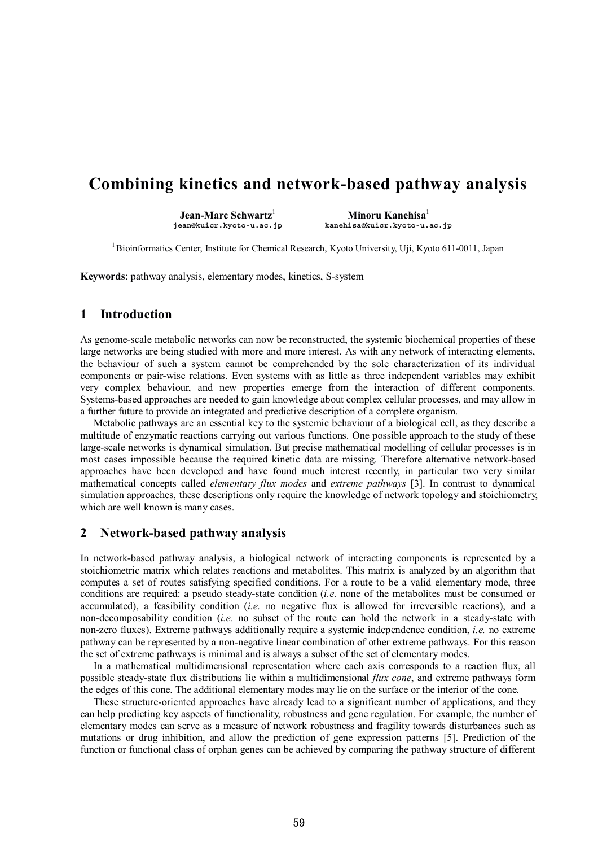# **Combining kinetics and network-based pathway analysis**

**Jean-Marc Schwartz**<sup>1</sup><br>jean@kuicr.kyoto-u.ac.jp

 **Minoru Kanehisa**<sup>1</sup>  **jean@kuicr.kyoto-u.ac.jp kanehisa@kuicr.kyoto-u.ac.jp** 

<sup>1</sup> Bioinformatics Center, Institute for Chemical Research, Kyoto University, Uji, Kyoto 611-0011, Japan

**Keywords**: pathway analysis, elementary modes, kinetics, S-system

### **1 Introduction**

As genome-scale metabolic networks can now be reconstructed, the systemic biochemical properties of these large networks are being studied with more and more interest. As with any network of interacting elements, the behaviour of such a system cannot be comprehended by the sole characterization of its individual components or pair-wise relations. Even systems with as little as three independent variables may exhibit very complex behaviour, and new properties emerge from the interaction of different components. Systems-based approaches are needed to gain knowledge about complex cellular processes, and may allow in a further future to provide an integrated and predictive description of a complete organism.

Metabolic pathways are an essential key to the systemic behaviour of a biological cell, as they describe a multitude of enzymatic reactions carrying out various functions. One possible approach to the study of these large-scale networks is dynamical simulation. But precise mathematical modelling of cellular processes is in most cases impossible because the required kinetic data are missing. Therefore alternative network-based approaches have been developed and have found much interest recently, in particular two very similar mathematical concepts called *elementary flux modes* and *extreme pathways* [3]. In contrast to dynamical simulation approaches, these descriptions only require the knowledge of network topology and stoichiometry, which are well known is many cases.

#### **2 Network-based pathway analysis**

In network-based pathway analysis, a biological network of interacting components is represented by a stoichiometric matrix which relates reactions and metabolites. This matrix is analyzed by an algorithm that computes a set of routes satisfying specified conditions. For a route to be a valid elementary mode, three conditions are required: a pseudo steady-state condition (*i.e.* none of the metabolites must be consumed or accumulated), a feasibility condition (*i.e.* no negative flux is allowed for irreversible reactions), and a non-decomposability condition (*i.e.* no subset of the route can hold the network in a steady-state with non-zero fluxes). Extreme pathways additionally require a systemic independence condition, *i.e.* no extreme pathway can be represented by a non-negative linear combination of other extreme pathways. For this reason the set of extreme pathways is minimal and is always a subset of the set of elementary modes.

In a mathematical multidimensional representation where each axis corresponds to a reaction flux, all possible steady-state flux distributions lie within a multidimensional *flux cone*, and extreme pathways form the edges of this cone. The additional elementary modes may lie on the surface or the interior of the cone.

These structure-oriented approaches have already lead to a significant number of applications, and they can help predicting key aspects of functionality, robustness and gene regulation. For example, the number of elementary modes can serve as a measure of network robustness and fragility towards disturbances such as mutations or drug inhibition, and allow the prediction of gene expression patterns [5]. Prediction of the function or functional class of orphan genes can be achieved by comparing the pathway structure of different